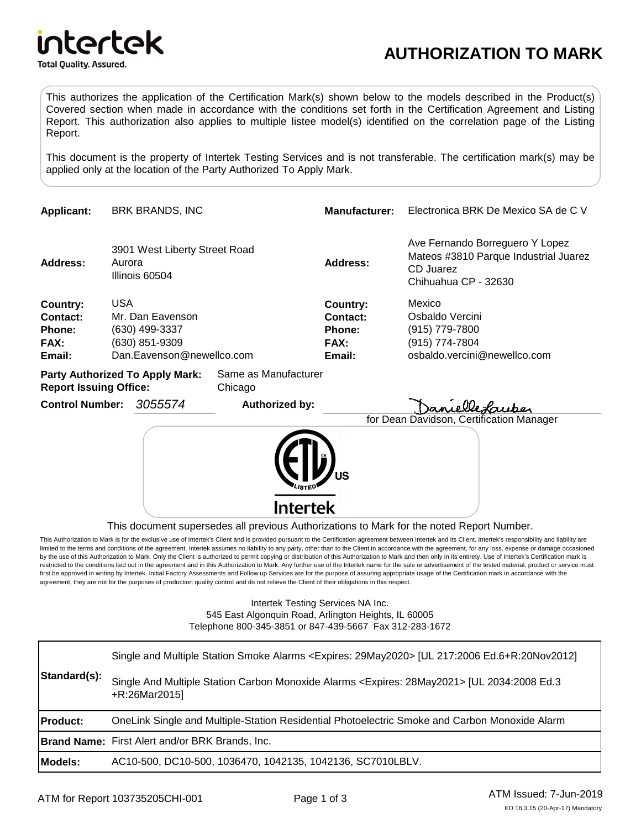

## **AUTHORIZATION TO MARK**

This authorizes the application of the Certification Mark(s) shown below to the models described in the Product(s) Covered section when made in accordance with the conditions set forth in the Certification Agreement and Listing Report. This authorization also applies to multiple listee model(s) identified on the correlation page of the Listing Report.

This document is the property of Intertek Testing Services and is not transferable. The certification mark(s) may be applied only at the location of the Party Authorized To Apply Mark.

|                        | <b>BRK BRANDS, INC</b> |                                                                                                                                                                           | <b>Manufacturer:</b>                                       | Electronica BRK De Mexico SA de C V                                                                                          |  |
|------------------------|------------------------|---------------------------------------------------------------------------------------------------------------------------------------------------------------------------|------------------------------------------------------------|------------------------------------------------------------------------------------------------------------------------------|--|
|                        |                        |                                                                                                                                                                           | Address:                                                   | Ave Fernando Borreguero Y Lopez<br>Mateos #3810 Parque Industrial Juarez<br>CD Juarez<br>Chihuahua CP - 32630                |  |
|                        |                        |                                                                                                                                                                           | Country:                                                   | Mexico                                                                                                                       |  |
|                        |                        |                                                                                                                                                                           | Contact:                                                   | Osbaldo Vercini                                                                                                              |  |
|                        |                        |                                                                                                                                                                           | <b>Phone:</b>                                              | (915) 779-7800                                                                                                               |  |
|                        |                        |                                                                                                                                                                           | <b>FAX:</b>                                                | (915) 774-7804                                                                                                               |  |
|                        |                        |                                                                                                                                                                           | Email:                                                     | osbaldo.vercini@newellco.com                                                                                                 |  |
|                        |                        | Chicago                                                                                                                                                                   |                                                            |                                                                                                                              |  |
| <b>Control Number:</b> | 3055574                | Authorized by:                                                                                                                                                            |                                                            | . Ole fruke                                                                                                                  |  |
|                        |                        |                                                                                                                                                                           |                                                            | for Dean Davidson, Certification Manager                                                                                     |  |
|                        |                        |                                                                                                                                                                           |                                                            |                                                                                                                              |  |
|                        |                        | Aurora<br>Illinois 60504<br><b>USA</b><br>Mr. Dan Eavenson<br>(630) 499-3337<br>(630) 851-9309<br><b>Party Authorized To Apply Mark:</b><br><b>Report Issuing Office:</b> | 3901 West Liberty Street Road<br>Dan.Eavenson@newellco.com | Same as Manufacturer<br>Intertek<br>This document supersedes all previous Authorizations to Mark for the noted Report Number |  |

 $\,$ u $\,$ unent supersedes all previous Authorizations to Mark for the noted Report Number.

This Authorization to Mark is for the exclusive use of Intertek's Client and is provided pursuant to the Certification agreement between Intertek and its Client. Intertek's responsibility and liability are limited to the terms and conditions of the agreement. Intertek assumes no liability to any party, other than to the Client in accordance with the agreement, for any loss, expense or damage occasioned by the use of this Authorization to Mark. Only the Client is authorized to permit copying or distribution of this Authorization to Mark and then only in its entirety. Use of Intertek's Certification mark is restricted to the conditions laid out in the agreement and in this Authorization to Mark. Any further use of the Intertek name for the sale or advertisement of the tested material, product or service must first be approved in writing by Intertek. Initial Factory Assessments and Follow up Services are for the purpose of assuring appropriate usage of the Certification mark in accordance with the agreement, they are not for the purposes of production quality control and do not relieve the Client of their obligations in this respect.

> Intertek Testing Services NA Inc. 545 East Algonquin Road, Arlington Heights, IL 60005 Telephone 800-345-3851 or 847-439-5667 Fax 312-283-1672

| Standard(s):    | Single and Multiple Station Smoke Alarms <expires: 29may2020=""> [UL 217:2006 Ed.6+R:20Nov2012]<br/>Single And Multiple Station Carbon Monoxide Alarms <expires: 28may2021=""> [UL 2034:2008 Ed.3</expires:></expires:> |
|-----------------|-------------------------------------------------------------------------------------------------------------------------------------------------------------------------------------------------------------------------|
|                 | +R:26Mar2015]                                                                                                                                                                                                           |
| <b>Product:</b> | OneLink Single and Multiple-Station Residential Photoelectric Smoke and Carbon Monoxide Alarm                                                                                                                           |
|                 | <b>Brand Name:</b> First Alert and/or BRK Brands, Inc.                                                                                                                                                                  |
| <b>Models:</b>  | AC10-500, DC10-500, 1036470, 1042135, 1042136, SC7010LBLV.                                                                                                                                                              |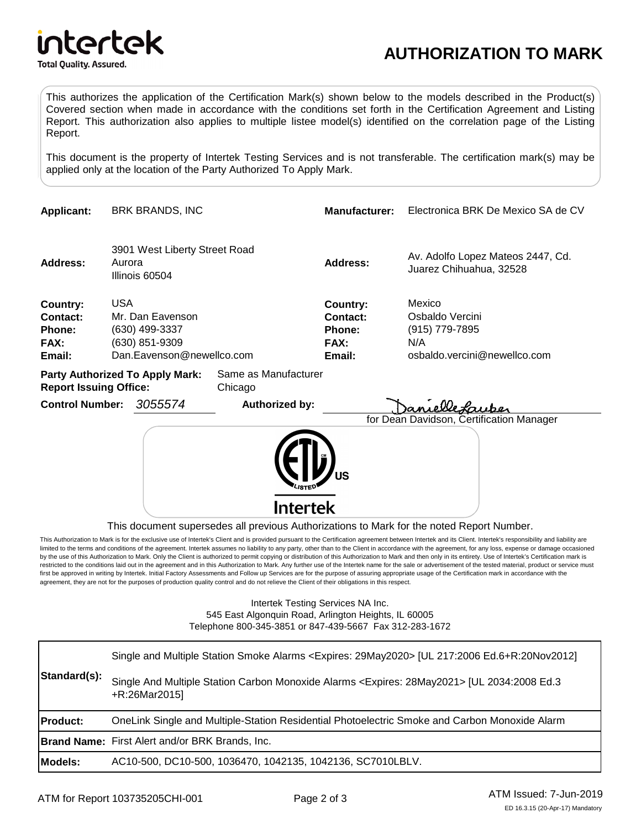

## **AUTHORIZATION TO MARK**

This authorizes the application of the Certification Mark(s) shown below to the models described in the Product(s) Covered section when made in accordance with the conditions set forth in the Certification Agreement and Listing Report. This authorization also applies to multiple listee model(s) identified on the correlation page of the Listing Report.

This document is the property of Intertek Testing Services and is not transferable. The certification mark(s) may be applied only at the location of the Party Authorized To Apply Mark.

| <b>Applicant:</b>                                              | <b>BRK BRANDS, INC</b> |                                                                                   |                                 | <b>Manufacturer:</b>                                           | Electronica BRK De Mexico SA de CV                                                 |
|----------------------------------------------------------------|------------------------|-----------------------------------------------------------------------------------|---------------------------------|----------------------------------------------------------------|------------------------------------------------------------------------------------|
| Address:                                                       | Aurora                 | 3901 West Liberty Street Road<br>Illinois 60504                                   |                                 | <b>Address:</b>                                                | Av. Adolfo Lopez Mateos 2447, Cd.<br>Juarez Chihuahua, 32528                       |
| Country:<br><b>Contact:</b><br><b>Phone:</b><br>FAX:<br>Email: | <b>USA</b>             | Mr. Dan Eavenson<br>(630) 499-3337<br>(630) 851-9309<br>Dan.Eavenson@newellco.com |                                 | <b>Country:</b><br><b>Contact:</b><br>Phone:<br>FAX:<br>Email: | Mexico<br>Osbaldo Vercini<br>(915) 779-7895<br>N/A<br>osbaldo.vercini@newellco.com |
| <b>Report Issuing Office:</b>                                  |                        | <b>Party Authorized To Apply Mark:</b>                                            | Same as Manufacturer<br>Chicago |                                                                |                                                                                    |
| <b>Control Number:</b>                                         |                        | 3055574                                                                           | <b>Authorized by:</b>           |                                                                | anuelle Laubo<br>for Dean Davidson, Certification Manager                          |
|                                                                |                        |                                                                                   |                                 |                                                                |                                                                                    |
|                                                                |                        |                                                                                   | Intertek                        |                                                                |                                                                                    |

This document supersedes all previous Authorizations to Mark for the noted Report Number.

This Authorization to Mark is for the exclusive use of Intertek's Client and is provided pursuant to the Certification agreement between Intertek and its Client. Intertek's responsibility and liability are limited to the terms and conditions of the agreement. Intertek assumes no liability to any party, other than to the Client in accordance with the agreement, for any loss, expense or damage occasioned by the use of this Authorization to Mark. Only the Client is authorized to permit copying or distribution of this Authorization to Mark and then only in its entirety. Use of Intertek's Certification mark is restricted to the conditions laid out in the agreement and in this Authorization to Mark. Any further use of the Intertek name for the sale or advertisement of the tested material, product or service must first be approved in writing by Intertek. Initial Factory Assessments and Follow up Services are for the purpose of assuring appropriate usage of the Certification mark in accordance with the agreement, they are not for the purposes of production quality control and do not relieve the Client of their obligations in this respect.

> Intertek Testing Services NA Inc. 545 East Algonquin Road, Arlington Heights, IL 60005 Telephone 800-345-3851 or 847-439-5667 Fax 312-283-1672

| Standard(s):    | Single and Multiple Station Smoke Alarms <expires: 29may2020=""> [UL 217:2006 Ed.6+R:20Nov2012]</expires:>                 |
|-----------------|----------------------------------------------------------------------------------------------------------------------------|
|                 | Single And Multiple Station Carbon Monoxide Alarms <expires: 28may2021=""> [UL 2034:2008 Ed.3<br/>+R:26Mar2015]</expires:> |
| <b>Product:</b> | OneLink Single and Multiple-Station Residential Photoelectric Smoke and Carbon Monoxide Alarm                              |
|                 | <b>Brand Name:</b> First Alert and/or BRK Brands, Inc.                                                                     |
| Models:         | AC10-500, DC10-500, 1036470, 1042135, 1042136, SC7010LBLV.                                                                 |